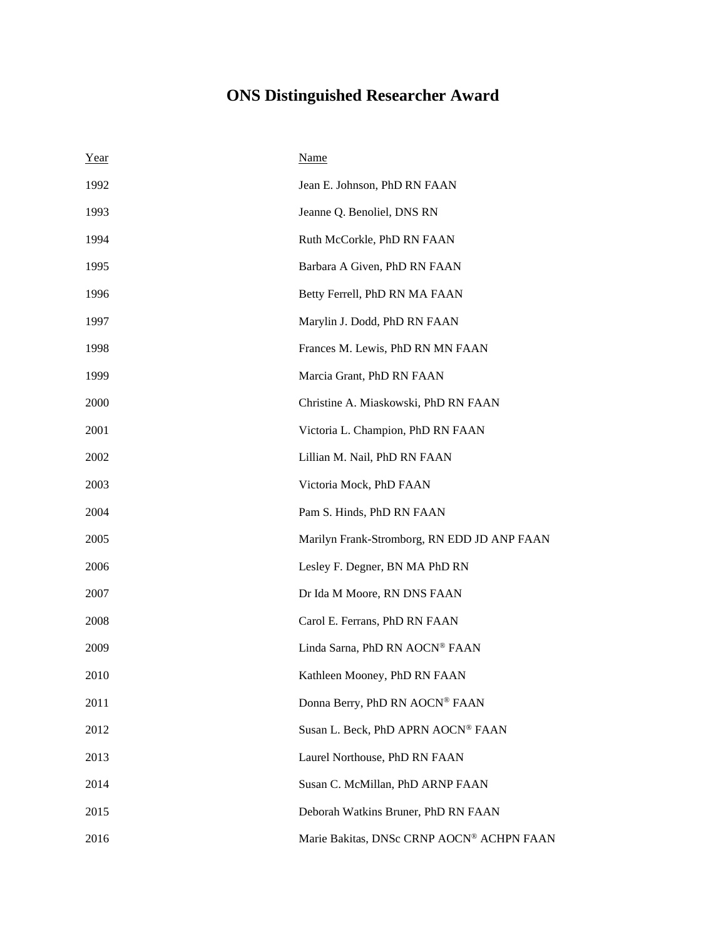## **ONS Distinguished Researcher Award**

| Year | <b>Name</b>                                 |
|------|---------------------------------------------|
| 1992 | Jean E. Johnson, PhD RN FAAN                |
| 1993 | Jeanne Q. Benoliel, DNS RN                  |
| 1994 | Ruth McCorkle, PhD RN FAAN                  |
| 1995 | Barbara A Given, PhD RN FAAN                |
| 1996 | Betty Ferrell, PhD RN MA FAAN               |
| 1997 | Marylin J. Dodd, PhD RN FAAN                |
| 1998 | Frances M. Lewis, PhD RN MN FAAN            |
| 1999 | Marcia Grant, PhD RN FAAN                   |
| 2000 | Christine A. Miaskowski, PhD RN FAAN        |
| 2001 | Victoria L. Champion, PhD RN FAAN           |
| 2002 | Lillian M. Nail, PhD RN FAAN                |
| 2003 | Victoria Mock, PhD FAAN                     |
| 2004 | Pam S. Hinds, PhD RN FAAN                   |
| 2005 | Marilyn Frank-Stromborg, RN EDD JD ANP FAAN |
| 2006 | Lesley F. Degner, BN MA PhD RN              |
| 2007 | Dr Ida M Moore, RN DNS FAAN                 |
| 2008 | Carol E. Ferrans, PhD RN FAAN               |
| 2009 | Linda Sarna, PhD RN AOCN® FAAN              |
| 2010 | Kathleen Mooney, PhD RN FAAN                |
| 2011 | Donna Berry, PhD RN AOCN® FAAN              |
| 2012 | Susan L. Beck, PhD APRN AOCN® FAAN          |
| 2013 | Laurel Northouse, PhD RN FAAN               |
| 2014 | Susan C. McMillan, PhD ARNP FAAN            |
| 2015 | Deborah Watkins Bruner, PhD RN FAAN         |
| 2016 | Marie Bakitas, DNSc CRNP AOCN® ACHPN FAAN   |